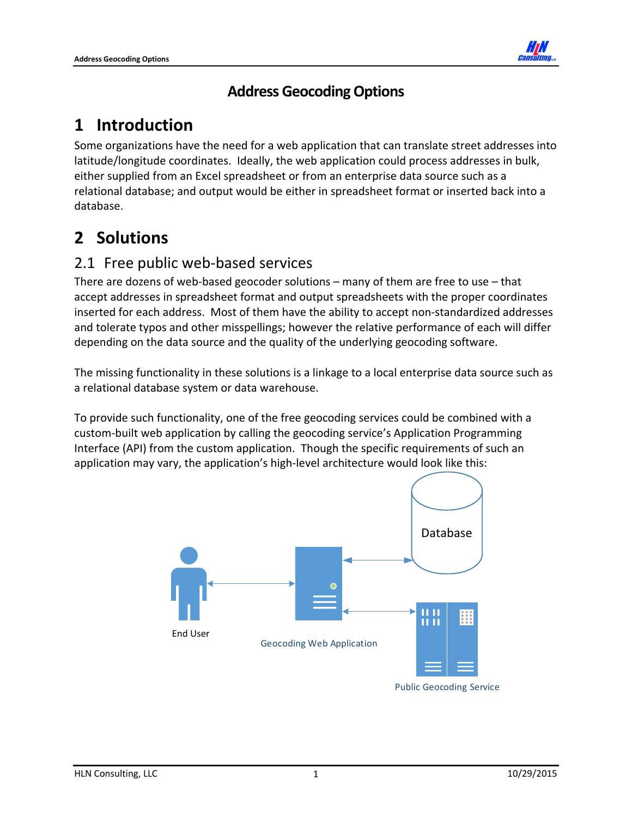

#### **Address GeocodingOptions**

# **1 Introduction**

Some organizations have the need for a web application that can translate street addresses into latitude/longitude coordinates. Ideally, the web application could process addresses in bulk, either supplied from an Excel spreadsheet or from an enterprise data source such as a relational database; and output would be either in spreadsheet format or inserted back into a database.

# **2 Solutions**

### 2.1 Free public web‐based services

There are dozens of web‐based geocoder solutions – many of them are free to use – that accept addresses in spreadsheet format and output spreadsheets with the proper coordinates inserted for each address. Most of them have the ability to accept non‐standardized addresses and tolerate typos and other misspellings; however the relative performance of each will differ depending on the data source and the quality of the underlying geocoding software.

The missing functionality in these solutions is a linkage to a local enterprise data source such as a relational database system or data warehouse.

To provide such functionality, one of the free geocoding services could be combined with a custom‐built web application by calling the geocoding service's Application Programming Interface (API) from the custom application. Though the specific requirements of such an application may vary, the application's high‐level architecture would look like this:



Public Geocoding Service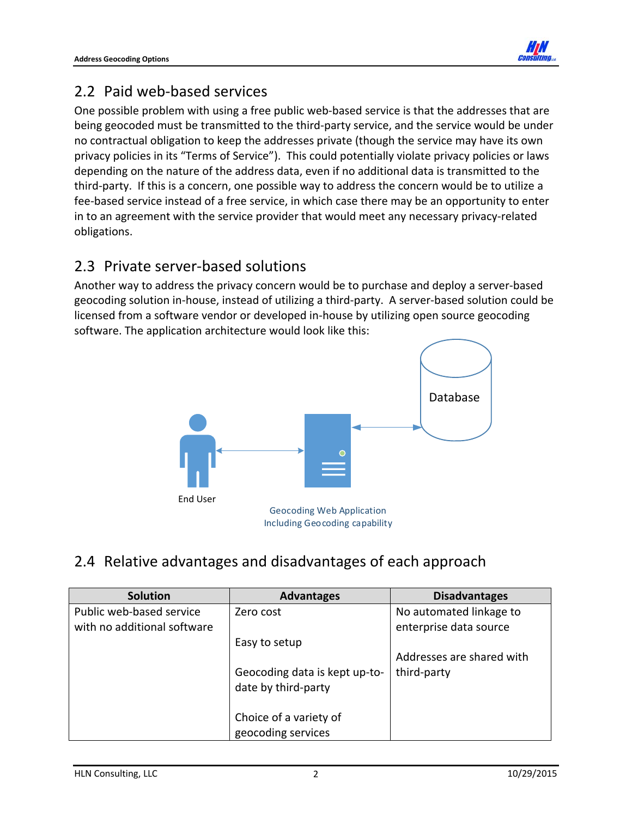

#### 2.2 Paid web‐based services

One possible problem with using a free public web-based service is that the addresses that are being geocoded must be transmitted to the third-party service, and the service would be under no contractual obligation to keep the addresses private (though the service may have its own privacy policies in its "Terms of Service"). This could potentially violate privacy policies or laws depending on the nature of the address data, even if no additional data is transmitted to the third‐party. If this is a concern, one possible way to address the concern would be to utilize a fee‐based service instead of a free service, in which case there may be an opportunity to enter in to an agreement with the service provider that would meet any necessary privacy-related obligations.

#### 2.3 Private server‐based solutions

Another way to address the privacy concern would be to purchase and deploy a server‐based geocoding solution in‐house, instead of utilizing a third‐party. A server‐based solution could be licensed from a software vendor or developed in‐house by utilizing open source geocoding software. The application architecture would look like this:



### 2.4 Relative advantages and disadvantages of each approach

| <b>Solution</b>             | <b>Advantages</b>                                    | <b>Disadvantages</b>      |
|-----------------------------|------------------------------------------------------|---------------------------|
| Public web-based service    | Zero cost                                            | No automated linkage to   |
| with no additional software |                                                      | enterprise data source    |
|                             | Easy to setup                                        |                           |
|                             |                                                      | Addresses are shared with |
|                             | Geocoding data is kept up-to-<br>date by third-party | third-party               |
|                             |                                                      |                           |
|                             | Choice of a variety of                               |                           |
|                             | geocoding services                                   |                           |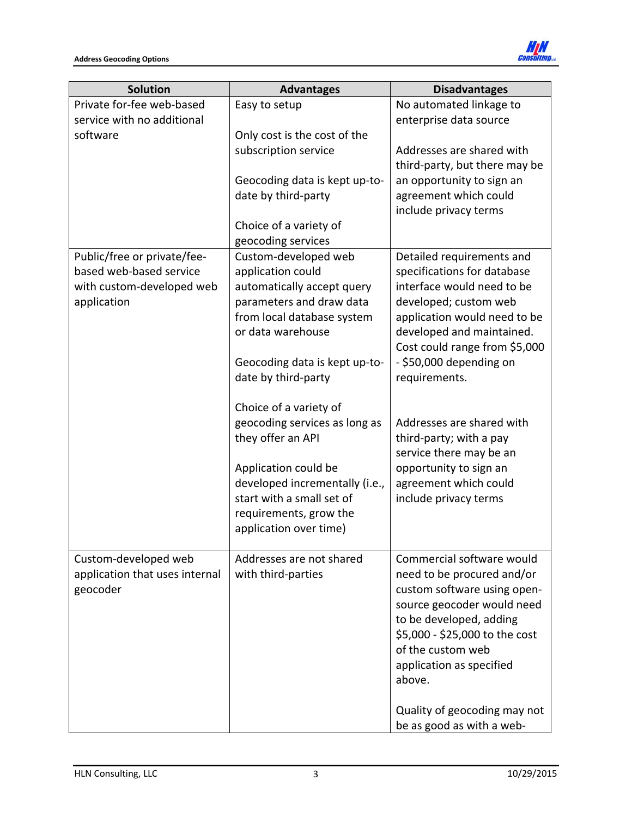

| <b>Solution</b>                            | <b>Advantages</b>                              | <b>Disadvantages</b>                                      |
|--------------------------------------------|------------------------------------------------|-----------------------------------------------------------|
| Private for-fee web-based                  | Easy to setup                                  | No automated linkage to                                   |
| service with no additional                 |                                                | enterprise data source                                    |
| software                                   | Only cost is the cost of the                   |                                                           |
|                                            | subscription service                           | Addresses are shared with                                 |
|                                            |                                                | third-party, but there may be                             |
|                                            | Geocoding data is kept up-to-                  | an opportunity to sign an                                 |
|                                            | date by third-party                            | agreement which could                                     |
|                                            | Choice of a variety of                         | include privacy terms                                     |
|                                            | geocoding services                             |                                                           |
| Public/free or private/fee-                | Custom-developed web                           | Detailed requirements and                                 |
| based web-based service                    | application could                              | specifications for database                               |
| with custom-developed web                  | automatically accept query                     | interface would need to be                                |
| application                                | parameters and draw data                       | developed; custom web                                     |
|                                            | from local database system                     | application would need to be                              |
|                                            | or data warehouse                              | developed and maintained.                                 |
|                                            |                                                | Cost could range from \$5,000                             |
|                                            | Geocoding data is kept up-to-                  | - \$50,000 depending on                                   |
|                                            | date by third-party                            | requirements.                                             |
|                                            | Choice of a variety of                         |                                                           |
|                                            | geocoding services as long as                  | Addresses are shared with                                 |
|                                            | they offer an API                              | third-party; with a pay                                   |
|                                            |                                                | service there may be an                                   |
|                                            | Application could be                           | opportunity to sign an                                    |
|                                            | developed incrementally (i.e.,                 | agreement which could                                     |
|                                            | start with a small set of                      | include privacy terms                                     |
|                                            | requirements, grow the                         |                                                           |
|                                            | application over time)                         |                                                           |
|                                            |                                                |                                                           |
| Custom-developed web                       | Addresses are not shared<br>with third-parties | Commercial software would                                 |
| application that uses internal<br>geocoder |                                                | need to be procured and/or<br>custom software using open- |
|                                            |                                                | source geocoder would need                                |
|                                            |                                                | to be developed, adding                                   |
|                                            |                                                | \$5,000 - \$25,000 to the cost                            |
|                                            |                                                | of the custom web                                         |
|                                            |                                                | application as specified                                  |
|                                            |                                                | above.                                                    |
|                                            |                                                |                                                           |
|                                            |                                                | Quality of geocoding may not                              |
|                                            |                                                | be as good as with a web-                                 |